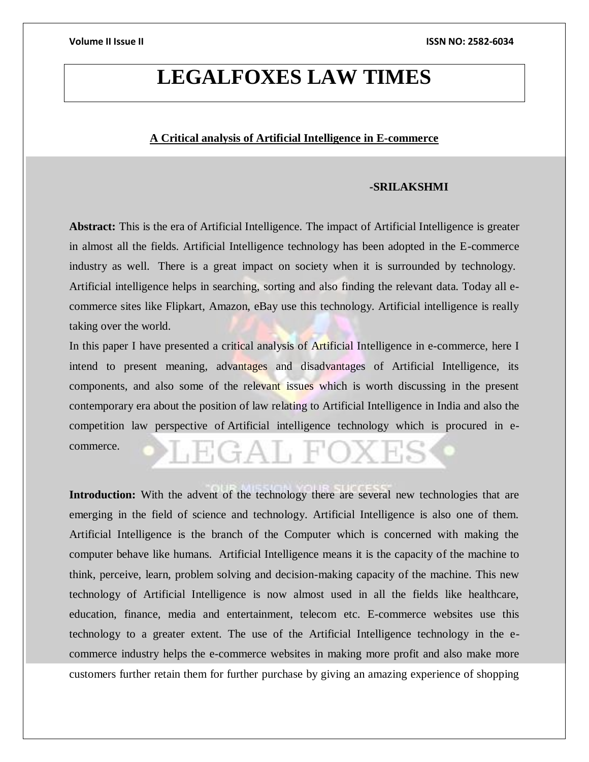# **LEGALFOXES LAW TIMES**

# **A Critical analysis of Artificial Intelligence in E-commerce**

### **-SRILAKSHMI**

**Abstract:** This is the era of Artificial Intelligence. The impact of Artificial Intelligence is greater in almost all the fields. Artificial Intelligence technology has been adopted in the E-commerce industry as well. There is a great impact on society when it is surrounded by technology. Artificial intelligence helps in searching, sorting and also finding the relevant data. Today all ecommerce sites like Flipkart, Amazon, eBay use this technology. Artificial intelligence is really taking over the world.

In this paper I have presented a critical analysis of Artificial Intelligence in e-commerce, here I intend to present meaning, advantages and disadvantages of Artificial Intelligence, its components, and also some of the relevant issues which is worth discussing in the present contemporary era about the position of law relating to Artificial Intelligence in India and also the competition law perspective of Artificial intelligence technology which is procured in e-

commerce.

Introduction: With the advent of the technology there are several new technologies that are emerging in the field of science and technology. Artificial Intelligence is also one of them. Artificial Intelligence is the branch of the Computer which is concerned with making the computer behave like humans. Artificial Intelligence means it is the capacity of the machine to think, perceive, learn, problem solving and decision-making capacity of the machine. This new technology of Artificial Intelligence is now almost used in all the fields like healthcare, education, finance, media and entertainment, telecom etc. E-commerce websites use this technology to a greater extent. The use of the Artificial Intelligence technology in the ecommerce industry helps the e-commerce websites in making more profit and also make more customers further retain them for further purchase by giving an amazing experience of shopping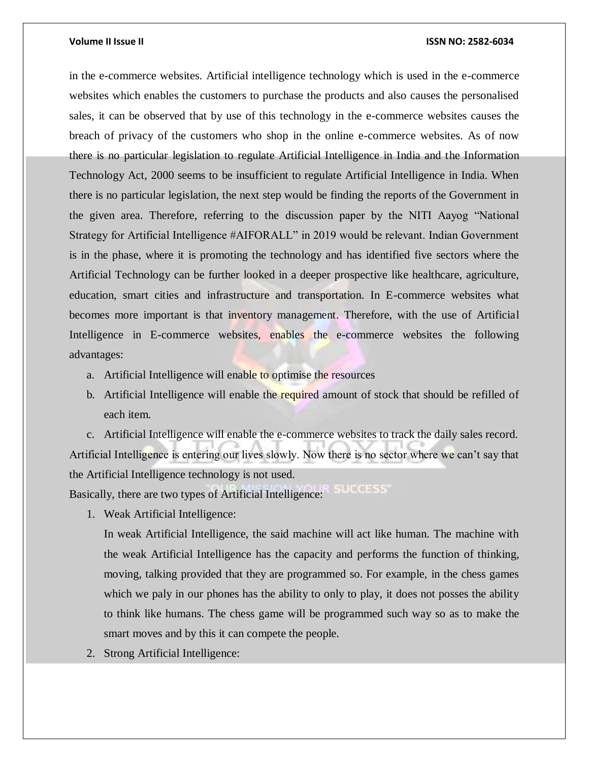in the e-commerce websites. Artificial intelligence technology which is used in the e-commerce websites which enables the customers to purchase the products and also causes the personalised sales, it can be observed that by use of this technology in the e-commerce websites causes the breach of privacy of the customers who shop in the online e-commerce websites. As of now there is no particular legislation to regulate Artificial Intelligence in India and the Information Technology Act, 2000 seems to be insufficient to regulate Artificial Intelligence in India. When there is no particular legislation, the next step would be finding the reports of the Government in the given area. Therefore, referring to the discussion paper by the NITI Aayog "National Strategy for Artificial Intelligence #AIFORALL" in 2019 would be relevant. Indian Government is in the phase, where it is promoting the technology and has identified five sectors where the Artificial Technology can be further looked in a deeper prospective like healthcare, agriculture, education, smart cities and infrastructure and transportation. In E-commerce websites what becomes more important is that inventory management. Therefore, with the use of Artificial Intelligence in E-commerce websites, enables the e-commerce websites the following advantages:

- a. Artificial Intelligence will enable to optimise the resources
- b. Artificial Intelligence will enable the required amount of stock that should be refilled of each item.

c. Artificial Intelligence will enable the e-commerce websites to track the daily sales record. Artificial Intelligence is entering our lives slowly. Now there is no sector where we can't say that the Artificial Intelligence technology is not used. Basically, there are two types of Artificial Intelligence:

1. Weak Artificial Intelligence:

In weak Artificial Intelligence, the said machine will act like human. The machine with the weak Artificial Intelligence has the capacity and performs the function of thinking, moving, talking provided that they are programmed so. For example, in the chess games which we paly in our phones has the ability to only to play, it does not posses the ability to think like humans. The chess game will be programmed such way so as to make the smart moves and by this it can compete the people.

2. Strong Artificial Intelligence: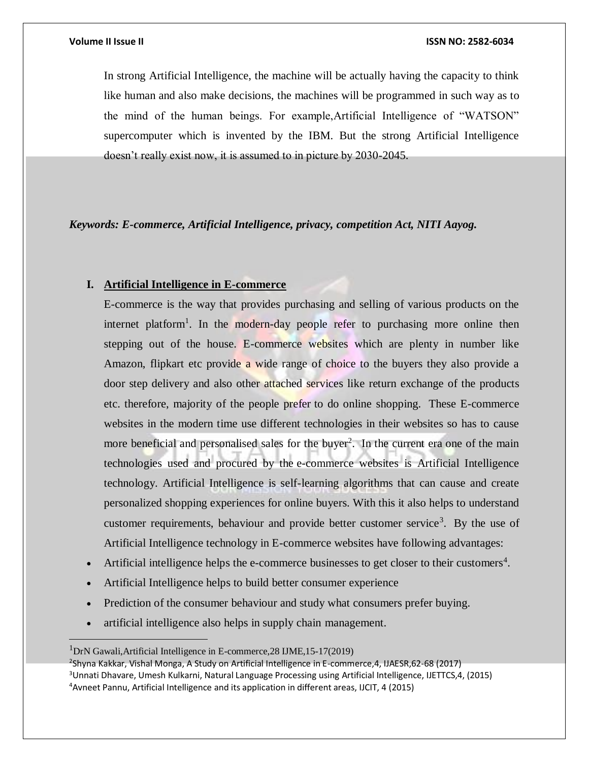In strong Artificial Intelligence, the machine will be actually having the capacity to think like human and also make decisions, the machines will be programmed in such way as to the mind of the human beings. For example,Artificial Intelligence of "WATSON" supercomputer which is invented by the IBM. But the strong Artificial Intelligence doesn't really exist now, it is assumed to in picture by 2030-2045.

# *Keywords: E-commerce, Artificial Intelligence, privacy, competition Act, NITI Aayog.*

### **I. Artificial Intelligence in E-commerce**

E-commerce is the way that provides purchasing and selling of various products on the internet platform<sup>1</sup>. In the modern-day people refer to purchasing more online then stepping out of the house. E-commerce websites which are plenty in number like Amazon, flipkart etc provide a wide range of choice to the buyers they also provide a door step delivery and also other attached services like return exchange of the products etc. therefore, majority of the people prefer to do online shopping. These E-commerce websites in the modern time use different technologies in their websites so has to cause more beneficial and personalised sales for the buyer<sup>2</sup>. In the current era one of the main technologies used and procured by the e-commerce websites is Artificial Intelligence technology. Artificial Intelligence is self-learning algorithms that can cause and create personalized shopping experiences for online buyers. With this it also helps to understand customer requirements, behaviour and provide better customer service<sup>3</sup>. By the use of Artificial Intelligence technology in E-commerce websites have following advantages:

- Artificial intelligence helps the e-commerce businesses to get closer to their customers<sup>4</sup>.
- Artificial Intelligence helps to build better consumer experience
- Prediction of the consumer behaviour and study what consumers prefer buying.
- artificial intelligence also helps in supply chain management.

 $1$ DrN Gawali,Artificial Intelligence in E-commerce, 28 IJME, 15-17(2019)

<sup>2</sup> Shyna Kakkar, Vishal Monga, A Study on Artificial Intelligence in E-commerce,4, IJAESR,62-68 (2017) <sup>3</sup>Unnati Dhavare, Umesh Kulkarni, Natural Language Processing using Artificial Intelligence, IJETTCS,4, (2015) 4Avneet Pannu, Artificial Intelligence and its application in different areas, IJCIT, 4 (2015)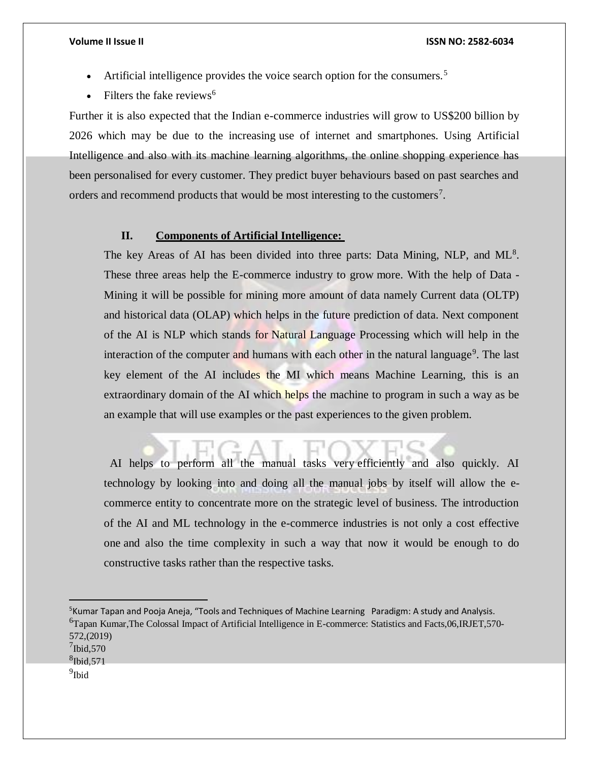- Artificial intelligence provides the voice search option for the consumers.<sup>5</sup>
- Filters the fake reviews $<sup>6</sup>$ </sup>

Further it is also expected that the Indian e-commerce industries will grow to US\$200 billion by 2026 which may be due to the increasing use of internet and smartphones. Using Artificial Intelligence and also with its machine learning algorithms, the online shopping experience has been personalised for every customer. They predict buyer behaviours based on past searches and orders and recommend products that would be most interesting to the customers<sup>7</sup>.

## **II. Components of Artificial Intelligence:**

The key Areas of AI has been divided into three parts: Data Mining, NLP, and  $ML^8$ . These three areas help the E-commerce industry to grow more. With the help of Data - Mining it will be possible for mining more amount of data namely Current data (OLTP) and historical data (OLAP) which helps in the future prediction of data. Next component of the AI is NLP which stands for Natural Language Processing which will help in the interaction of the computer and humans with each other in the natural language<sup>9</sup>. The last key element of the AI includes the MI which means Machine Learning, this is an extraordinary domain of the AI which helps the machine to program in such a way as be an example that will use examples or the past experiences to the given problem.

 AI helps to perform all the manual tasks very efficiently and also quickly. AI technology by looking into and doing all the manual jobs by itself will allow the ecommerce entity to concentrate more on the strategic level of business. The introduction of the AI and ML technology in the e-commerce industries is not only a cost effective one and also the time complexity in such a way that now it would be enough to do constructive tasks rather than the respective tasks.

<sup>5</sup>Kumar Tapan and Pooja Aneja, "Tools and Techniques of Machine Learning Paradigm: A study and Analysis. <sup>6</sup>Tapan Kumar,The Colossal Impact of Artificial Intelligence in E-commerce: Statistics and Facts,06,IRJET,570- 572,(2019)

<sup>9</sup>Ibid

 $7$ Ibid,570

<sup>8</sup> Ibid,571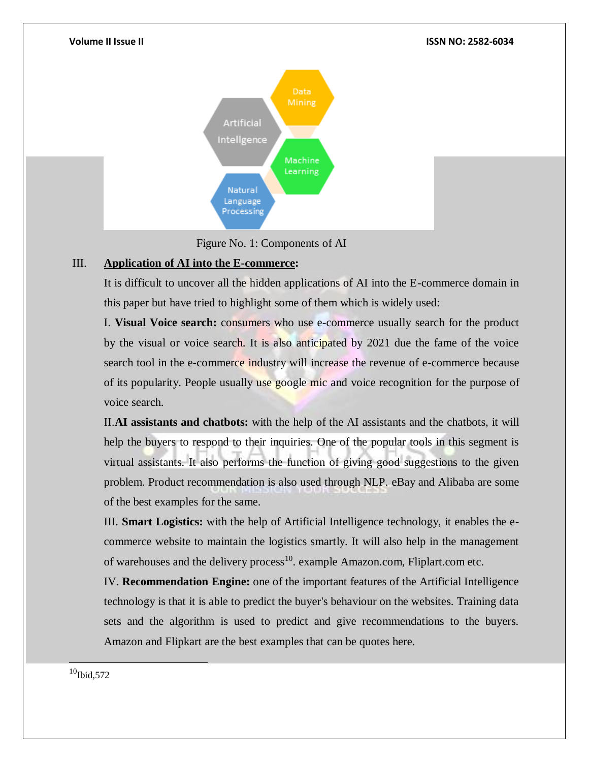

# III. **Application of AI into the E-commerce:**

It is difficult to uncover all the hidden applications of AI into the E-commerce domain in this paper but have tried to highlight some of them which is widely used:

I. **Visual Voice search:** consumers who use e-commerce usually search for the product by the visual or voice search. It is also anticipated by 2021 due the fame of the voice search tool in the e-commerce industry will increase the revenue of e-commerce because of its popularity. People usually use google mic and voice recognition for the purpose of voice search.

II.**AI assistants and chatbots:** with the help of the AI assistants and the chatbots, it will help the buyers to respond to their inquiries. One of the popular tools in this segment is virtual assistants. It also performs the function of giving good suggestions to the given problem. Product recommendation is also used through NLP. eBay and Alibaba are some of the best examples for the same.

III. **Smart Logistics:** with the help of Artificial Intelligence technology, it enables the ecommerce website to maintain the logistics smartly. It will also help in the management of warehouses and the delivery process<sup>10</sup>. example Amazon.com, Fliplart.com etc.

IV. **Recommendation Engine:** one of the important features of the Artificial Intelligence technology is that it is able to predict the buyer's behaviour on the websites. Training data sets and the algorithm is used to predict and give recommendations to the buyers. Amazon and Flipkart are the best examples that can be quotes here.

 $10$ Ibid,572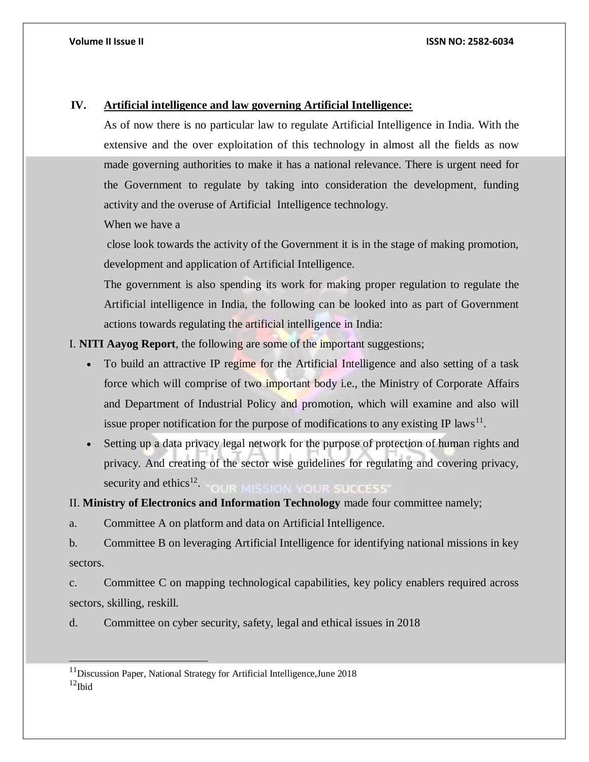# **IV. Artificial intelligence and law governing Artificial Intelligence:**

As of now there is no particular law to regulate Artificial Intelligence in India. With the extensive and the over exploitation of this technology in almost all the fields as now made governing authorities to make it has a national relevance. There is urgent need for the Government to regulate by taking into consideration the development, funding activity and the overuse of Artificial Intelligence technology.

When we have a

close look towards the activity of the Government it is in the stage of making promotion, development and application of Artificial Intelligence.

The government is also spending its work for making proper regulation to regulate the Artificial intelligence in India, the following can be looked into as part of Government actions towards regulating the artificial intelligence in India:

I. **NITI Aayog Report**, the following are some of the important suggestions;

- To build an attractive IP regime for the Artificial Intelligence and also setting of a task force which will comprise of two important body i.e., the Ministry of Corporate Affairs and Department of Industrial Policy and promotion, which will examine and also will issue proper notification for the purpose of modifications to any existing IP laws<sup>11</sup>.
- Setting up a data privacy legal network for the purpose of protection of human rights and privacy. And creating of the sector wise guidelines for regulating and covering privacy, security and ethics $^{12}$ . **SSION YOUR SUCCESS'**

II. **Ministry of Electronics and Information Technology** made four committee namely;

a. Committee A on platform and data on Artificial Intelligence.

b. Committee B on leveraging Artificial Intelligence for identifying national missions in key sectors.

c. Committee C on mapping technological capabilities, key policy enablers required across sectors, skilling, reskill.

d. Committee on cyber security, safety, legal and ethical issues in 2018

 $11$ Discussion Paper, National Strategy for Artificial Intelligence, June 2018  $12$ Ibid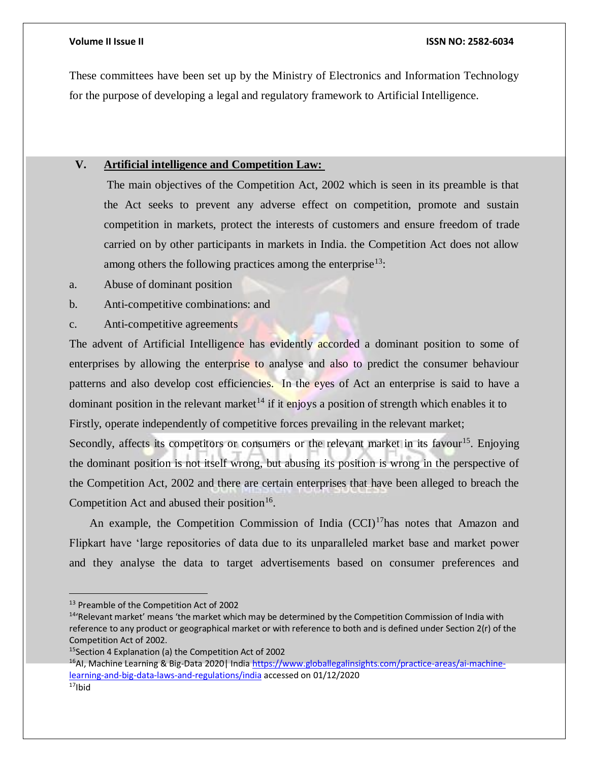These committees have been set up by the Ministry of Electronics and Information Technology for the purpose of developing a legal and regulatory framework to Artificial Intelligence.

# **V. Artificial intelligence and Competition Law:**

The main objectives of the Competition Act, 2002 which is seen in its preamble is that the Act seeks to prevent any adverse effect on competition, promote and sustain competition in markets, protect the interests of customers and ensure freedom of trade carried on by other participants in markets in India. the Competition Act does not allow among others the following practices among the enterprise<sup>13</sup>:

- a. Abuse of dominant position
- b. Anti-competitive combinations: and
- c. Anti-competitive agreements

The advent of Artificial Intelligence has evidently accorded a dominant position to some of enterprises by allowing the enterprise to analyse and also to predict the consumer behaviour patterns and also develop cost efficiencies. In the eyes of Act an enterprise is said to have a dominant position in the relevant market<sup> $14$ </sup> if it enjoys a position of strength which enables it to Firstly, operate independently of competitive forces prevailing in the relevant market;

Secondly, affects its competitors or consumers or the relevant market in its favour<sup>15</sup>. Enjoying the dominant position is not itself wrong, but abusing its position is wrong in the perspective of the Competition Act, 2002 and there are certain enterprises that have been alleged to breach the Competition Act and abused their position<sup>16</sup>.

An example, the Competition Commission of India  $(CCI)^{17}$ has notes that Amazon and Flipkart have 'large repositories of data due to its unparalleled market base and market power and they analyse the data to target advertisements based on consumer preferences and

<sup>15</sup>Section 4 Explanation (a) the Competition Act of 2002

<sup>16</sup>AI, Machine Learning & Big-Data 2020| India [https://www.globallegalinsights.com/practice-areas/ai-machine](https://www.globallegalinsights.com/practice-areas/ai-machine-learning-and-big-data-laws-and-regulations/india)[learning-and-big-data-laws-and-regulations/india](https://www.globallegalinsights.com/practice-areas/ai-machine-learning-and-big-data-laws-and-regulations/india) accessed on 01/12/2020

<sup>&</sup>lt;sup>13</sup> Preamble of the Competition Act of 2002

<sup>&</sup>lt;sup>14</sup>'Relevant market' means 'the market which may be determined by the Competition Commission of India with reference to any product or geographical market or with reference to both and is defined under Section 2(r) of the Competition Act of 2002.

 $17$ Ibid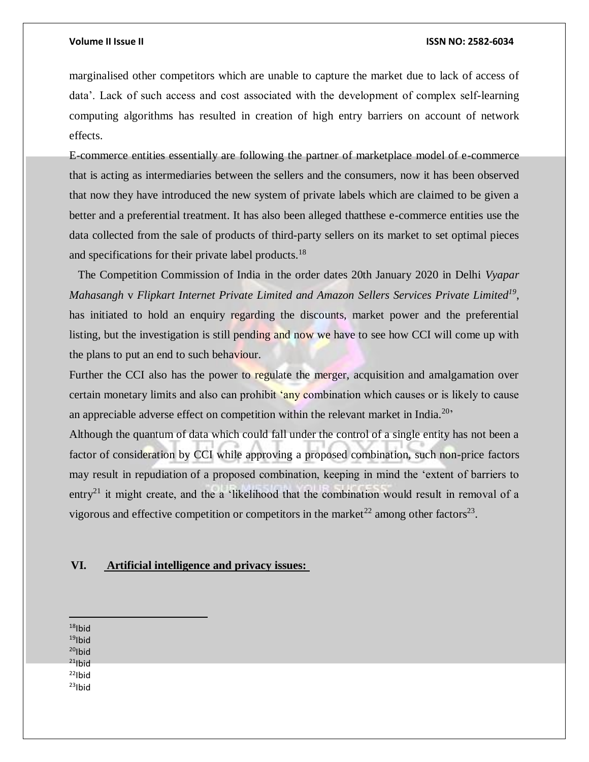marginalised other competitors which are unable to capture the market due to lack of access of data'. Lack of such access and cost associated with the development of complex self-learning computing algorithms has resulted in creation of high entry barriers on account of network effects.

E-commerce entities essentially are following the partner of marketplace model of e-commerce that is acting as intermediaries between the sellers and the consumers, now it has been observed that now they have introduced the new system of private labels which are claimed to be given a better and a preferential treatment. It has also been alleged thatthese e-commerce entities use the data collected from the sale of products of third-party sellers on its market to set optimal pieces and specifications for their private label products.<sup>18</sup>

 The Competition Commission of India in the order dates 20th January 2020 in Delhi *Vyapar Mahasangh* v *Flipkart Internet Private Limited and Amazon Sellers Services Private Limited<sup>19</sup>* , has initiated to hold an enquiry regarding the discounts, market power and the preferential listing, but the investigation is still pending and now we have to see how CCI will come up with the plans to put an end to such behaviour.

Further the CCI also has the power to regulate the merger, acquisition and amalgamation over certain monetary limits and also can prohibit 'any combination which causes or is likely to cause an appreciable adverse effect on competition within the relevant market in India.<sup>20</sup>

Although the quantum of data which could fall under the control of a single entity has not been a factor of consideration by CCI while approving a proposed combination, such non-price factors may result in repudiation of a proposed combination, keeping in mind the 'extent of barriers to entry<sup>21</sup> it might create, and the a 'likelihood that the combination would result in removal of a vigorous and effective competition or competitors in the market<sup>22</sup> among other factors<sup>23</sup>.

### **VI. Artificial intelligence and privacy issues:**

 $18$ Ibid  $19$ Ibid  $20$ Ibid  $21$ |bid  $22$ Ibid  $23$ Ibid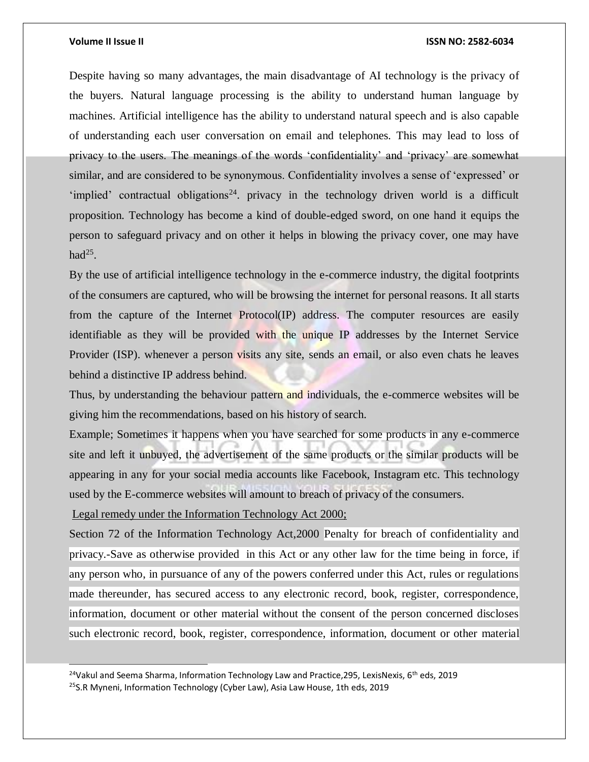l

### **Volume II Issue II ISSN NO: 2582-6034**

Despite having so many advantages, the main disadvantage of AI technology is the privacy of the buyers. Natural language processing is the ability to understand human language by machines. Artificial intelligence has the ability to understand natural speech and is also capable of understanding each user conversation on email and telephones. This may lead to loss of privacy to the users. The meanings of the words 'confidentiality' and 'privacy' are somewhat similar, and are considered to be synonymous. Confidentiality involves a sense of 'expressed' or 'implied' contractual obligations<sup>24</sup>. privacy in the technology driven world is a difficult proposition. Technology has become a kind of double-edged sword, on one hand it equips the person to safeguard privacy and on other it helps in blowing the privacy cover, one may have had $^{25}$ .

By the use of artificial intelligence technology in the e-commerce industry, the digital footprints of the consumers are captured, who will be browsing the internet for personal reasons. It all starts from the capture of the Internet Protocol(IP) address. The computer resources are easily identifiable as they will be provided with the unique IP addresses by the Internet Service Provider (ISP). whenever a person visits any site, sends an email, or also even chats he leaves behind a distinctive IP address behind.

Thus, by understanding the behaviour pattern and individuals, the e-commerce websites will be giving him the recommendations, based on his history of search.

Example; Sometimes it happens when you have searched for some products in any e-commerce site and left it unbuyed, the advertisement of the same products or the similar products will be appearing in any for your social media accounts like Facebook, Instagram etc. This technology used by the E-commerce websites will amount to breach of privacy of the consumers.

Legal remedy under the Information Technology Act 2000;

Section 72 of the Information Technology Act,2000 Penalty for breach of confidentiality and privacy.-Save as otherwise provided in this Act or any other law for the time being in force, if any person who, in pursuance of any of the powers conferred under this Act, rules or regulations made thereunder, has secured access to any electronic record, book, register, correspondence, information, document or other material without the consent of the person concerned discloses such electronic record, book, register, correspondence, information, document or other material

<sup>24</sup>Vakul and Seema Sharma, Information Technology Law and Practice, 295, LexisNexis, 6<sup>th</sup> eds, 2019 <sup>25</sup>S.R Myneni, Information Technology (Cyber Law), Asia Law House, 1th eds, 2019